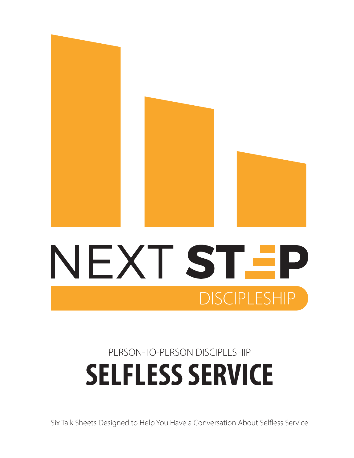

## **SELFLESS SERVICE** PERSON-TO-PERSON DISCIPLESHIP

**DISCIPLESHIP** 

Six Talk Sheets Designed to Help You Have a Conversation About Selfless Service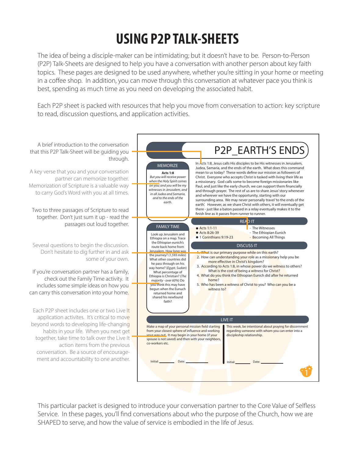## **USING P2P TALK-SHEETS**

The idea of being a disciple-maker can be intimidating; but it doesn't have to be. Person-to-Person (P2P) Talk-Sheets are designed to help you have a conversation with another person about key faith topics. These pages are designed to be used anywhere, whether you're sitting in your home or meeting in a coffee shop. In addition, you can move through this conversation at whatever pace you think is best, spending as much time as you need on developing the associated habit.

Each P2P sheet is packed with resources that help you move from conversation to action: key scripture to read, discussion questions, and application activities.



This particular packet is designed to introduce your conversation partner to the Core Value of Selfless Service. In these pages, you'll find conversations about who the purpose of the Church, how we are SHAPED to serve, and how the value of service is embodied in the life of Jesus.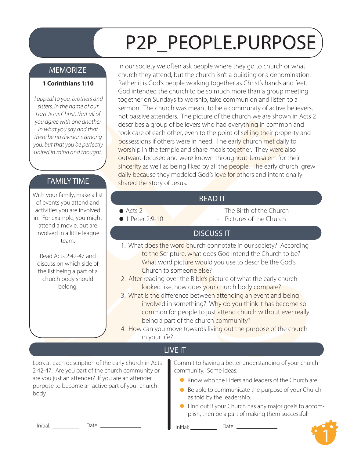## P2P\_PEOPLE.PURPOSE

#### **MEMORIZE**

#### **1 Corinthians 1:10**

 *I appeal to you, brothers and sisters, in the name of our Lord Jesus Christ, that all of you agree with one another in what you say and that there be no divisions among you, but that you be perfectly united in mind and thought.*

#### FAMILY TIME

With your family, make a list of events you attend and activities you are involved in. For example, you might attend a movie, but are involved in a little league team.

Read Acts 2:42-47 and discuss on which side of the list being a part of a church body should belong.

In our society we often ask people where they go to church or what church they attend, but the church isn't a building or a denomination. Rather it is God's people working together as Christ's hands and feet. God intended the church to be so much more than a group meeting together on Sundays to worship, take communion and listen to a sermon. The church was meant to be a community of active believers, not passive attenders. The picture of the church we are shown in Acts 2 describes a group of believers who had everything in common and took care of each other, even to the point of selling their property and possessions if others were in need. The early church met daily to worship in the temple and share meals together. They were also outward-focused and were known throughout Jerusalem for their sincerity as well as being liked by all the people. The early church grew daily because they modeled God's love for others and intentionally shared the story of Jesus.

#### READ IT

● Acts 2

- The Birth of the Church

 $\bullet$  1 Peter 2:9-10

Pictures of the Church

#### DISCUSS IT

- 1. What does the word 'church' connotate in our society? According to the Scripture, what does God intend the Church to be? What word picture would you use to describe the God's Church to someone else?
- 2. After reading over the Bible's picture of what the early church looked like, how does your church body compare?
- 3. What is the difference between attending an event and being involved in something? Why do you think it has become so common for people to just attend church without ever really being a part of the church community?
- 4. How can you move towards living out the purpose of the church in your life?

### LIVE IT

Look at each description of the early church in Acts 2 42-47. Are you part of the church community or are you just an attender? If you are an attender, purpose to become an active part of your church

Commit to having a better understanding of your church community. Some ideas:

- Know who the Elders and leaders of the Church are.
- purpose to become an active part or your church<br>body. as told by the leadership.
	- Find out if your Church has any major goals to accomplish, then be a part of making them successful!

Initial: Date: Initial: Date:

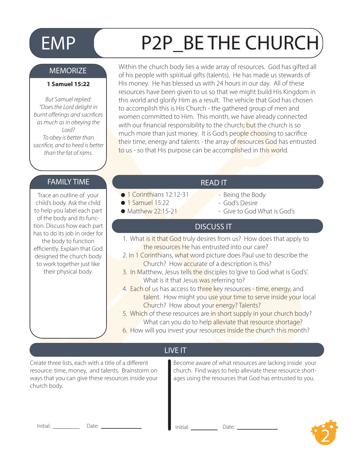# EMP (P2P BE THE CHURCH

#### MEMORIZE

#### **1 Samuel 15:22**

*But Samuel replied: "Does the Lord delight in burnt offerings and sacrifices as much as in obeying the Lord? To obey is better than sacrice, and to heed is better than the fat of rams.* 

Within the church body lies a wide array of resources. God has gifted all of his people with spiritual gifts (talents). He has made us stewards of His money. He has blessed us with 24 hours in our day. All of these resources have been given to us so that we might build His Kingdom in this world and glorify Him as a result. The vehicle that God has chosen to accomplish this is His Church - the gathered group of men and women committed to Him. This month, we have already connected with our financial responsibility to the church; but the church is so much more than just money. It is God's people choosing to sacrifice their time, energy and talents - the array of resources God has entrusted to us - so that His purpose can be accomplished in this world.

#### FAMILY TIME **READ IT**

Trace an outline of your child's body. Ask the child to help you label each part of the body and its function. Discuss how each part has to do its job in order for the body to function efficiently. Explain that God designed the church body to work together just like their physical body.

- 1 Corinthians 12:12-31
- $\bullet$  1 Samuel 15:22
- $\bullet$  Matthew 22:15-21
- - Being the Body
	- God's Desire
	- Give to God What is God's

#### DISCUSS IT

- 1. What is it that God truly desires from us? How does that apply to the resources He has entrusted into our care?
- 2. In 1 Corinthians, what word picture does Paul use to describe the Church? How accurate of a description is this?
- 3. In Matthew, Jesus tells the disciples to 'give to God what is God's'. What is it that Jesus was referring to?
- 4. Each of us has access to three key resources time, energy, and talent. How might you use your time to serve inside your local Church? How about your energy? Talents?
- 5. Which of these resources are in short supply in your church body? What can you do to help alleviate that resource shortage?
- 6. How will you invest your resources inside the church this month?

#### LIVE IT

Create three lists, each with a title of a different resource: time, money, and talents. Brainstorm on ways that you can give these resources inside your church body.

Become aware of what resources are lacking inside your church. Find ways to help alleviate these resource shortages using the resources that God has entrusted to you.

Initial: Date: Initial: Date:

2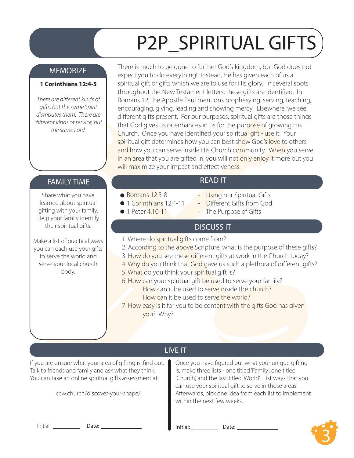# P2P\_SPIRITUAL GIFTS

#### MEMORIZE

#### **1 Corinthians 12:4-5**

*There are different kinds of gifts, but the same Spirit distributes them. There are*  different kinds of service, but *the same Lord.*

There is much to be done to further God's kingdom, but God does not expect you to do everything! Instead, He has given each of us a spiritual gift or gifts which we are to use for His glory. In several spots throughout the New Testament letters, these gifts are identified. In Romans 12, the Apostle Paul mentions prophesying, serving, teaching, encouraging, giving, leading and showing mercy. Elsewhere, we see different gifts present. For our purposes, spiritual gifts are those things that God gives us or enhances in us for the purpose of growing His Church. Once you have identified your spiritual gift - use it! Your spiritual gift determines how you can best show God's love to others and how you can serve inside His Church community. When you serve in an area that you are gifted in, you will not only enjoy it more but you will maximize your impact and effectiveness.

#### FAMILY TIME **The Contract of the Contract Contract Contract Contract Contract Contract Contract Contract Contract Contract Contract Contract Contract Contract Contract Contract Contract Contract Contract Contract Contract**

Share what you have learned about spiritual gifting with your family. Help your family identify their spiritual gifts.

Make a list of practical ways you can each use your gifts to serve the world and serve your local church body.

- $\bullet$  Romans 12:3-8
- 1 Corinthians 12:4-11
- **1 Peter 4:10-11**
- Using our Spiritual Gifts
- Different Gifts from God
- The Purpose of Gifts

#### DISCUSS IT

- 1. Where do spiritual gifts come from?
- 2. According to the above Scripture, what is the purpose of these gifts?
- 3. How do you see these different gifts at work in the Church today?
- 4. Why do you think that God gave us such a plethora of different gifts?
- 5. What do you think your spiritual gift is?
- 6. How can your spiritual gift be used to serve your family? How can it be used to serve inside the church? How can it be used to serve the world?
- 7. How easy is it for you to be content with the gifts God has given you? Why?

### LIVE IT

If you are unsure what your area of gifting is, find out.  $\vert$ Talk to friends and family and ask what they think. You can take an online spiritual gifts assessment at:

ccw.church/discover-your-shape/

Once you have figured out what your unique gifting is, make three lists - one titled 'Family', one titled 'Church', and the last titled 'World'. List ways that you can use your spiritual gift to serve in those areas. Afterwards, pick one idea from each list to implement within the next few weeks.

Initial: Date: Date: Date: Date: Date: Date:

3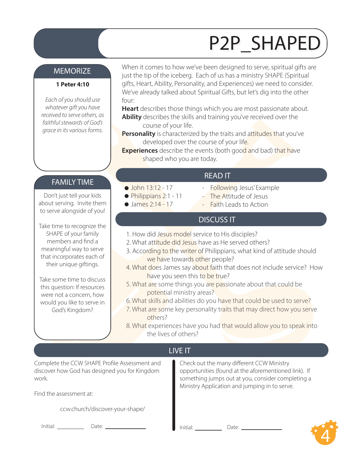## P2P\_SHAPED

#### **MEMORIZE**

#### **1 Peter 4:10**

*Each of you should use whatever gift you have received to serve others, as faithful stewards of God's grace in its various forms.* 

When it comes to how we've been designed to serve, spiritual gifts are just the tip of the iceberg. Each of us has a ministry SHAPE (Spiritual gifts, Heart, Ability, Personality, and Experiences) we need to consider. We've already talked about Spiritual Gifts, but let's dig into the other four:

**Heart** describes those things which you are most passionate about. **Ability** describes the skills and training you've received over the course of your life.

**Personality** is characterized by the traits and attitudes that you've developed over the course of your life.

**Experiences** describe the events (both good and bad) that have shaped who you are today.

#### FAMILY TIME

Don't just tell your kids about serving. Invite them to serve alongside of you!

Take time to recognize the SHAPE of your family members and find a meaningful way to serve that incorporates each of their unique giftings.

Take some time to discuss this question: If resources were not a concern, how would you like to serve in God's Kingdom?

#### READ IT

- Following Jesus' Example
- The Attitude of Jesus
- Faith Leads to Action

#### DISCUSS IT

1. How did Jesus model service to His disciples?

 $\bullet$  John 13:12 - 17 Philippians 2:1 - 11  $\bullet$  James 2:14 - 17

- 2. What attitude did Jesus have as He served others?
- 3. According to the writer of Philippians, what kind of attitude should we have towards other people?
- 4. What does James say about faith that does not include service? How have you seen this to be true?
- 5. What are some things you are passionate about that could be potential ministry areas?
- 6. What skills and abilities do you have that could be used to serve?
- 7. What are some key personality traits that may direct how you serve others?
- 8. What experiences have you had that would allow you to speak into the lives of others?

### LIVE IT

Complete the CCW SHAPE Profile Assessment and discover how God has designed you for Kingdom work.

Find the assessment at:

ccw.church/discover-your-shape/

Check out the many different CCW Ministry opportunities (found at the aforementioned link). If something jumps out at you, consider completing a Ministry Application and jumping in to serve.

Initial: <u>Charles Conternation Date: Date: Date: Initial:</u> Charles Date: Date: Date: Date: Date: Date: Date: Date: Date: Date: Date: Date: Date: Date: Date: Date: Date: Date: Date: Date: Date: Date: Date: Date: Date: Date:

4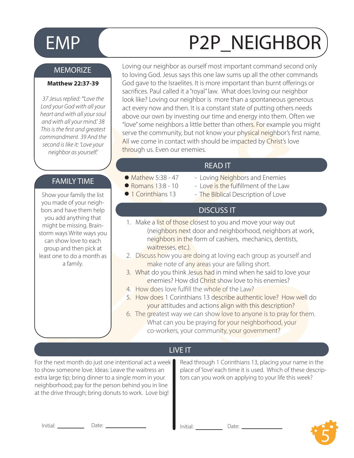# EMP (P2P\_NEIGHBOR

#### **MEMORIZE**

#### **Matthew 22:37-39**

*37 Jesus replied: "'Love the Lord your God with all your heart and with all your soul and with all your mind.' 38 This is the first and greatest commandment. 39 And the second is like it: 'Love your neighbor as yourself.'*

#### FAMILY TIME

Show your family the list you made of your neighbors and have them help you add anything that might be missing. Brainstorm ways Write ways you can show love to each group and then pick at least one to do a month as a family.

Loving our neighbor as ourself most important command second only to loving God. Jesus says this one law sums up all the other commands God gave to the Israelites. It is more important than burnt offerings or sacrifices. Paul called it a "royal" law. What does loving our neighbor look like? Loving our neighbor is more than a spontaneous generous act every now and then. It is a constant state of putting others needs above our own by investing our time and energy into them. Often we "love" some neighbors a little better than others. For example you might serve the community, but not know your physical neighbor's first name. All we come in contact with should be impacted by Christ's love through us. Even our enemies.

#### READ IT

- $\bullet$  Mathew 5:38 47
- $\bullet$  Romans 13:8 10
- **1** Corinthians 13
- Loving Neighbors and Enemies
- Love is the fulfillment of the Law
- The Biblical Description of Love

#### DISCUSS IT

- 1. Make a list of those closest to you and move your way out (neighbors next door and neighborhood, neighbors at work, neighbors in the form of cashiers, mechanics, dentists, waitresses, etc.).
- 2. Discuss how you are doing at loving each group as yourself and make note of any areas your are falling short.
- 3. What do you think Jesus had in mind when he said to love your enemies? How did Christ show love to his enemies?
- 4. How does love fulfill the whole of the Law?
- 5. How does 1 Corinthians 13 describe authentic love? How well do your attitudes and actions align with this description?
- 6. The greatest way we can show love to anyone is to pray for them. What can you be praying for your neighborhood, your co-workers, your community, your government?

#### LIVE IT

For the next month do just one intentional act a week to show someone love. Ideas: Leave the waitress an extra large tip; bring dinner to a single mom in your neighborhood; pay for the person behind you in line at the drive through; bring donuts to work. Love big!

Read through 1 Corinthians 13, placing your name in the place of 'love' each time it is used. Which of these descriptors can you work on applying to your life this week?

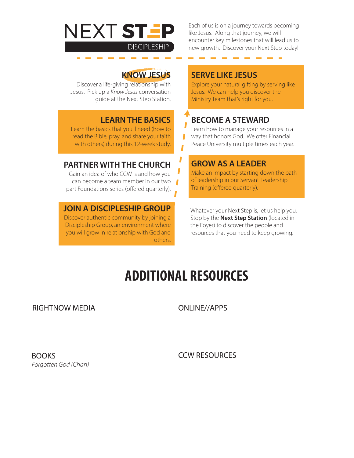### NEXT STEP **DISCIPLESHIP**

Each of us is on a journey towards becoming like Jesus. Along that journey, we will encounter key milestones that will lead us to new growth. Discover your Next Step today!

\_\_\_\_\_\_\_

### **KNOW JESUS**

Discover a life-giving relationship with Jesus. Pick up a *Know Jesus* conversation guide at the Next Step Station.

### **LEARN THE BASICS**

Learn the basics that you'll need (how to read the Bible, pray, and share your faith with others) during this 12-week study.

### **PARTNER WITH THE CHURCH**

Gain an idea of who CCW is and how you can become a team member in our two part Foundations series (offered quarterly).

#### **JOIN A DISCIPLESHIP GROUP**

Discover authentic community by joining a Discipleship Group, an environment where you will grow in relationship with God and others.

#### **SERVE LIKE JESUS**

Explore your natural gifting by serving like Jesus. We can help you discover the Ministry Team that's right for you.

### **BECOME A STEWARD**

Learn how to manage your resources in a way that honors God. We offer Financial Peace University multiple times each year.

### **GROW AS A LEADER**

Make an impact by starting down the path of leadership in our Servant Leadership Training (offered quarterly).

Whatever your Next Step is, let us help you. Stop by the **Next Step Station** (located in the Foyer) to discover the people and resources that you need to keep growing.

### **ADDITIONAL RESOURCES**

Ī

#### RIGHTNOW MEDIA ONLINE//APPS

**BOOKS** *Forgotten God (Chan)* CCW RESOURCES